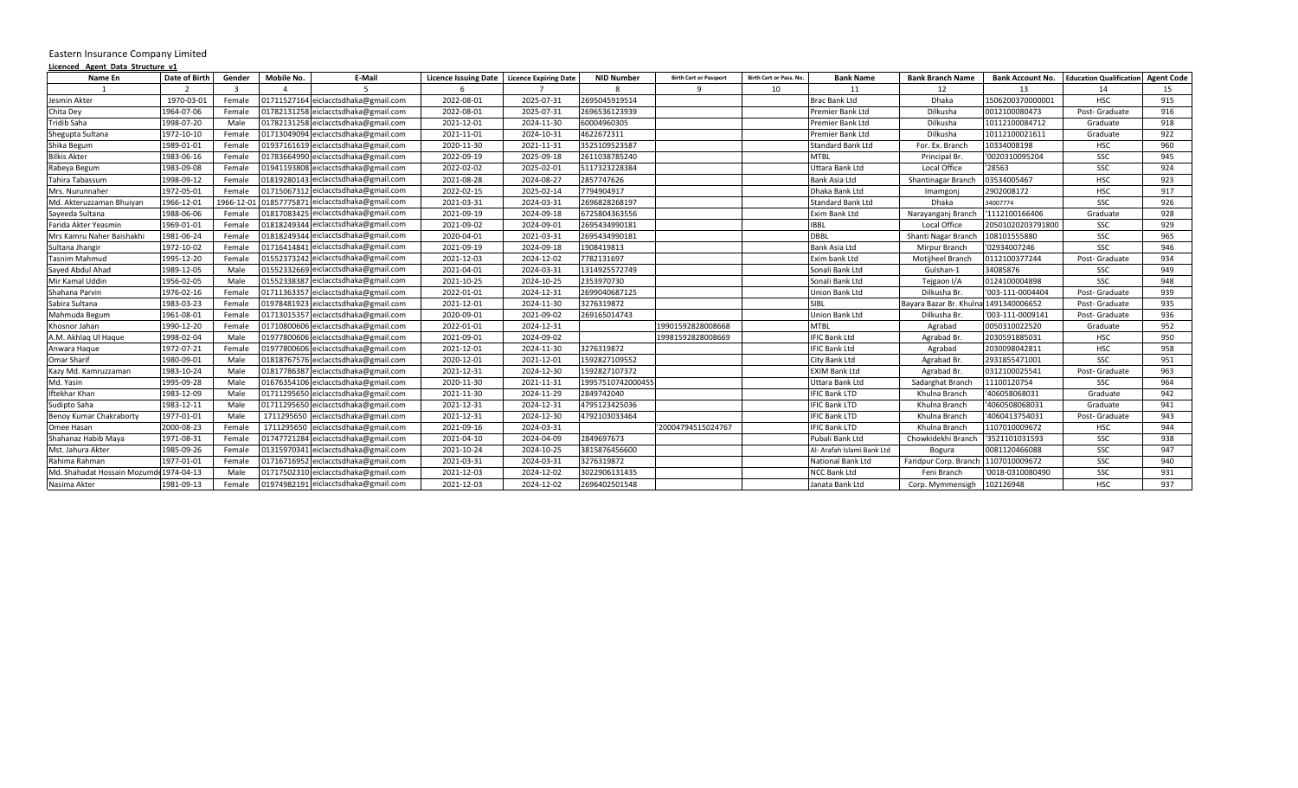## Eastern Insurance Company Limited

| Licenced Agent Data Structure v1 |               |                |             |                                      |                             |                              |                   |                               |                         |                            |                         |                         |                                           |     |
|----------------------------------|---------------|----------------|-------------|--------------------------------------|-----------------------------|------------------------------|-------------------|-------------------------------|-------------------------|----------------------------|-------------------------|-------------------------|-------------------------------------------|-----|
| Name En                          | Date of Birth | Gender         | Mobile No.  | E-Mail                               | <b>Licence Issuing Date</b> | <b>Licence Expiring Date</b> | <b>NID Number</b> | <b>Birth Cert or Passport</b> | Birth Cert or Pass. No. | <b>Bank Name</b>           | <b>Bank Branch Name</b> | <b>Bank Account No.</b> | <b>Education Qualification</b> Agent Code |     |
|                                  |               | $\overline{3}$ |             |                                      |                             |                              |                   |                               | 10                      | 11                         | 12                      | 13                      | 14                                        | 15  |
| Jesmin Akter                     | 1970-03-01    | Female         | 01711527164 | eiclacctsdhaka@gmail.com             | 2022-08-01                  | 2025-07-31                   | 2695045919514     |                               |                         | <b>Brac Bank Ltd</b>       | Dhaka                   | 1506200370000001        | <b>HSC</b>                                | 915 |
| Chita Dev                        | 1964-07-06    | Female         |             | 01782131258 eiclacctsdhaka@gmail.com | 2022-08-01                  | 2025-07-31                   | 2696536123939     |                               |                         | Premier Bank Ltd           | Dilkusha                | 0012100080473           | Post-Graduate                             | 916 |
| Tridib Saha                      | 1998-07-20    | Male           |             | 01782131258 eiclacctsdhaka@gmail.com | 2021-12-01                  | 2024-11-30                   | 60004960305       |                               |                         | Premier Bank Ltd           | Dilkusha                | 10112100084712          | Graduate                                  | 918 |
| Shegupta Sultana                 | 1972-10-10    | Female         |             | 01713049094 eiclacctsdhaka@gmail.com | 2021-11-01                  | 2024-10-31                   | 4622672311        |                               |                         | Premier Bank Ltd           | Dilkusha                | 10112100021611          | Graduate                                  | 922 |
| Shika Begum                      | 1989-01-01    | Female         |             | 01937161619 eiclacctsdhaka@gmail.com | 2020-11-30                  | 2021-11-31                   | 3525109523587     |                               |                         | <b>Standard Bank Ltd</b>   | For. Ex. Branch         | 10334008198             | <b>HSC</b>                                | 960 |
| <b>Bilkis Akter</b>              | 1983-06-16    | Female         |             | 01783664990 eiclacctsdhaka@gmail.com | 2022-09-19                  | 2025-09-18                   | 2611038785240     |                               |                         | <b>MTBL</b>                | Principal Br.           | '0020310095204          | SSC                                       | 945 |
| Rabeya Begum                     | 1983-09-08    | Female         |             | 01941193808 eiclacctsdhaka@gmail.com | 2022-02-02                  | 2025-02-01                   | 5117323228384     |                               |                         | Uttara Bank Ltd            | Local Office            | '28563                  | SSC                                       | 924 |
| Tahira Tabassum                  | 1998-09-12    | Female         |             | 01819280143 eiclacctsdhaka@gmail.com | 2021-08-28                  | 2024-08-27                   | 2857747626        |                               |                         | Bank Asia Ltd              | Shantinagar Branch      | 03534005467             | <b>HSC</b>                                | 923 |
| Mrs. Nurunnaher                  | 1972-05-01    | Female         |             | 01715067312 eiclacctsdhaka@gmail.com | 2022-02-15                  | 2025-02-14                   | 7794904917        |                               |                         | Dhaka Bank Ltd             | Imamgonj                | 2902008172              | <b>HSC</b>                                | 917 |
| Md. Akteruzzaman Bhuiyan         | 1966-12-01    | 1966-12-0      |             | 01857775871 eiclacctsdhaka@gmail.com | 2021-03-31                  | 2024-03-31                   | 2696828268197     |                               |                         | <b>Standard Bank Ltd</b>   | Dhaka                   | 34007774                | SSC                                       | 926 |
| Sayeeda Sultana                  | 1988-06-06    | Female         |             | 01817083425 eiclacctsdhaka@gmail.com | 2021-09-19                  | 2024-09-18                   | 6725804363556     |                               |                         | <b>Exim Bank Ltd</b>       | Narayanganj Branch      | '1112100166406          | Graduate                                  | 928 |
| Farida Akter Yeasmin             | 1969-01-01    | Female         | 01818249344 | eiclacctsdhaka@gmail.com             | 2021-09-02                  | 2024-09-01                   | 2695434990181     |                               |                         | <b>IBBL</b>                | Local Office            | 20501020203791800       | SSC                                       | 929 |
| Mrs Kamru Naher Baishakhi        | 1981-06-24    | Female         | 01818249344 | eiclacctsdhaka@gmail.com             | 2020-04-01                  | 2021-03-31                   | 2695434990181     |                               |                         | <b>DBBL</b>                | Shanti Nagar Branch     | 108101555880            | SSC                                       | 965 |
| Sultana Jhangir                  | 1972-10-02    | Female         |             | 01716414841 eiclacctsdhaka@gmail.com | 2021-09-19                  | 2024-09-18                   | 1908419813        |                               |                         | Bank Asia Ltd              | Mirpur Branch           | '02934007246            | SSC                                       | 946 |
| Tasnim Mahmud                    | 1995-12-20    | Female         |             | 01552373242 eiclacctsdhaka@gmail.com | 2021-12-03                  | 2024-12-02                   | 7782131697        |                               |                         | Exim bank Ltd              | Motijheel Branch        | 0112100377244           | Post- Graduate                            | 934 |
| Sayed Abdul Ahad                 | 1989-12-05    | Male           |             | 01552332669 eiclacctsdhaka@gmail.com | 2021-04-01                  | 2024-03-31                   | 1314925572749     |                               |                         | Sonali Bank Ltd            | Gulshan-1               | 34085876                | SSC                                       | 949 |
| Mir Kamal Uddin                  | 1956-02-05    | Male           |             | 01552338387 eiclacctsdhaka@gmail.com | 2021-10-25                  | 2024-10-25                   | 2353970730        |                               |                         | Sonali Bank Ltd            | Tejgaon I/A             | 0124100004898           | SSC                                       | 948 |
| Shahana Parvin                   | 1976-02-16    | Female         |             | 01711363357 eiclacctsdhaka@gmail.com | 2022-01-01                  | 2024-12-31                   | 2699040687125     |                               |                         | Union Bank Ltd             | Dilkusha Br.            | '003-111-0004404        | Post-Graduate                             | 939 |
| Sabira Sultana                   | 1983-03-23    | Female         | 01978481923 | eiclacctsdhaka@gmail.com             | 2021-12-01                  | 2024-11-30                   | 3276319872        |                               |                         | SIBL                       | Bayara Bazar Br. Khuln  | 1491340006652           | Post-Graduate                             | 935 |
| Mahmuda Begum                    | 1961-08-01    | Female         | 01713015357 | eiclacctsdhaka@gmail.com             | 2020-09-01                  | 2021-09-02                   | 269165014743      |                               |                         | Union Bank Ltd             | Dilkusha Br.            | '003-111-0009141        | Post-Graduate                             | 936 |
| Khosnor Jahan                    | 1990-12-20    | Female         |             | 01710800606 eiclacctsdhaka@gmail.com | 2022-01-01                  | 2024-12-31                   |                   | 19901592828008668             |                         | <b>MTBL</b>                | Agrabad                 | 0050310022520           | Graduate                                  | 952 |
| A.M. Akhlag Ul Haque             | 1998-02-04    | Male           |             | 01977800606 eiclacctsdhaka@gmail.com | 2021-09-01                  | 2024-09-02                   |                   | 19981592828008669             |                         | <b>IFIC Bank Ltd</b>       | Agrabad Br.             | 2030591885031           | <b>HSC</b>                                | 950 |
| Anwara Haque                     | 1972-07-21    | Female         |             | 01977800606 eiclacctsdhaka@gmail.com | 2021-12-01                  | 2024-11-30                   | 3276319872        |                               |                         | <b>IFIC Bank Ltd</b>       | Agrabad                 | 2030098042811           | <b>HSC</b>                                | 958 |
| Omar Sharif                      | 1980-09-01    | Male           |             | 01818767576 eiclacctsdhaka@gmail.com | 2020-12-01                  | 2021-12-01                   | 1592827109552     |                               |                         | City Bank Ltd              | Agrabad Br.             | 2931855471001           | SSC                                       | 951 |
| Kazy Md. Kamruzzaman             | 1983-10-24    | Male           |             | 01817786387 eiclacctsdhaka@gmail.com | 2021-12-31                  | 2024-12-30                   | 1592827107372     |                               |                         | <b>EXIM Bank Ltd</b>       | Agrabad Br.             | 0312100025541           | Post- Graduate                            | 963 |
| Md. Yasin                        | 1995-09-28    | Male           |             | 01676354106 eiclacctsdhaka@gmail.com | 2020-11-30                  | 2021-11-31                   | 19957510742000455 |                               |                         | Uttara Bank Ltd            | Sadarghat Branch        | 11100120754             | SSC                                       | 964 |
| Iftekhar Khan                    | 1983-12-09    | Male           |             | 01711295650 eiclacctsdhaka@gmail.com | 2021-11-30                  | 2024-11-29                   | 2849742040        |                               |                         | <b>IFIC Bank LTD</b>       | Khulna Branch           | '406058068031           | Graduate                                  | 942 |
| Sudipto Saha                     | 1983-12-11    | Male           |             | 01711295650 eiclacctsdhaka@gmail.com | 2021-12-31                  | 2024-12-31                   | 4795123425036     |                               |                         | <b>IFIC Bank LTD</b>       | Khulna Branch           | '4060508068031          | Graduate                                  | 941 |
| Benoy Kumar Chakraborty          | 1977-01-01    | Male           | 1711295650  | eiclacctsdhaka@gmail.com             | 2021-12-31                  | 2024-12-30                   | 4792103033464     |                               |                         | <b>IFIC Bank LTD</b>       | Khulna Branch           | '4060413754031          | Post-Graduate                             | 943 |
| Omee Hasan                       | 2000-08-23    | Female         | 1711295650  | eiclacctsdhaka@gmail.com             | 2021-09-16                  | 2024-03-31                   |                   | '20004794515024767            |                         | <b>IFIC Bank LTD</b>       | Khulna Branch           | 1107010009672           | <b>HSC</b>                                | 944 |
| Shahanaz Habib Maya              | 1971-08-31    | Female         |             | 01747721284 eiclacctsdhaka@gmail.com | 2021-04-10                  | 2024-04-09                   | 2849697673        |                               |                         | Pubali Bank Ltd            | Chowkidekhi Branch      | '3521101031593          | SSC                                       | 938 |
| Mst. Jahura Akter                | 1985-09-26    | Female         |             | 01315970341 eiclacctsdhaka@gmail.com | 2021-10-24                  | 2024-10-25                   | 3815876456600     |                               |                         | Al- Arafah Islami Bank Ltd | Bogura                  | 0081120466088           | SSC                                       | 947 |
| Rahima Rahman                    | 1977-01-01    | Female         |             | 01716716952 eiclacctsdhaka@gmail.com | 2021-03-31                  | 2024-03-31                   | 3276319872        |                               |                         | National Bank Ltd          | Faridpur Corp. Branch   | 1107010009672           | SSC                                       | 940 |
| Md. Shahadat Hossain Mozumo      | 1974-04-13    | Male           |             | 01717502310 eiclacctsdhaka@gmail.com | 2021-12-03                  | 2024-12-02                   | 3022906131435     |                               |                         | <b>NCC Bank Ltd</b>        | Feni Branch             | '0018-0310080490        | SSC                                       | 931 |
| Nasima Akter                     | 1981-09-13    | Female         |             | 01974982191 eiclacctsdhaka@gmail.com | 2021-12-03                  | 2024-12-02                   | 2696402501548     |                               |                         | Janata Bank Ltd            | Corp. Mymmensigh        | 102126948               | <b>HSC</b>                                | 937 |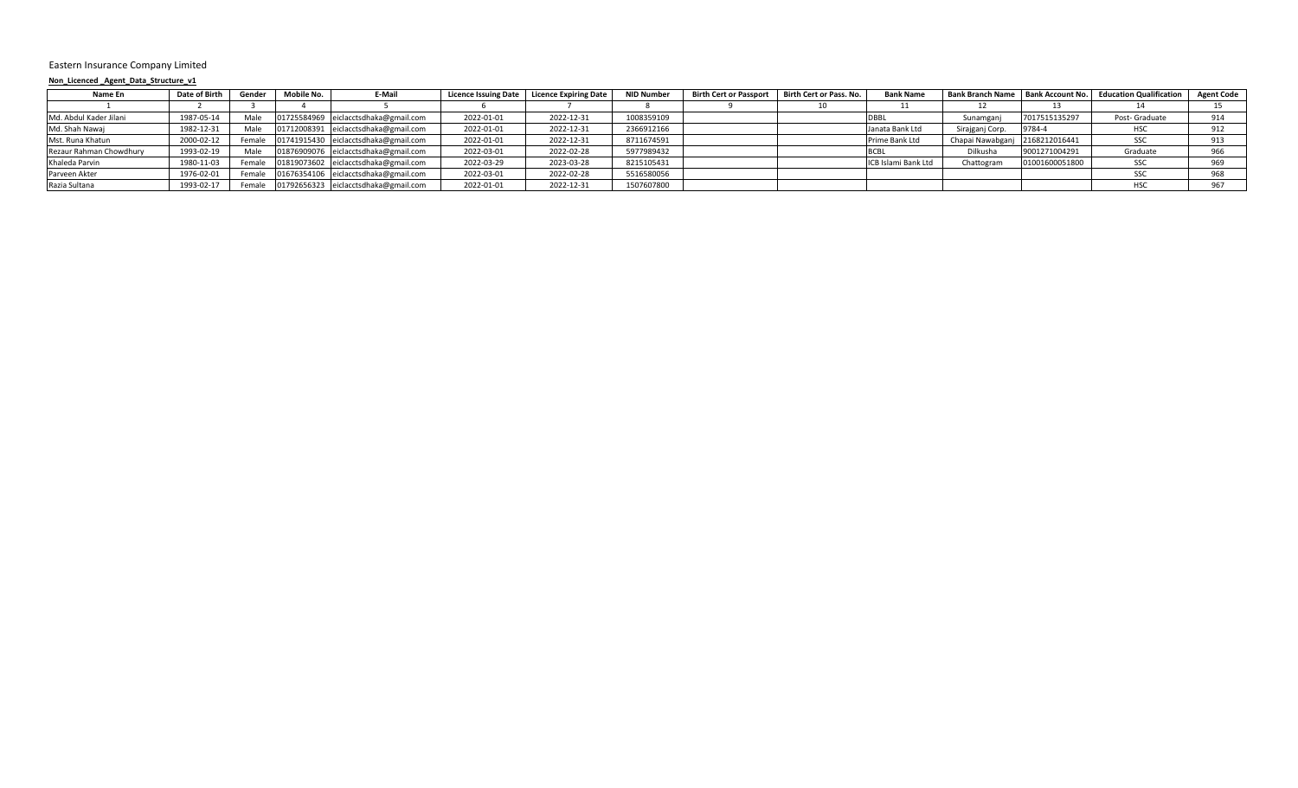#### Eastern Insurance Company Limited

## **Non\_Licenced \_Agent\_Data\_Structure\_v1**

| Name En                 | Date of Birth | Gender | Mobile No. | E-Mail                               | <b>Licence Issuing Date</b> | <b>Licence Expiring Date</b> | NID Number | <b>Birth Cert or Passport</b> | Birth Cert or Pass. No. | <b>Bank Name</b>    |                                |                | Bank Branch Name   Bank Account No.   Education Qualification | <b>Agent Code</b> |
|-------------------------|---------------|--------|------------|--------------------------------------|-----------------------------|------------------------------|------------|-------------------------------|-------------------------|---------------------|--------------------------------|----------------|---------------------------------------------------------------|-------------------|
|                         |               |        |            |                                      |                             |                              |            |                               |                         |                     |                                |                |                                                               |                   |
| Md. Abdul Kader Jilani  | 1987-05-14    | Male   |            | 01725584969 eiclacctsdhaka@gmail.com | 2022-01-01                  | 2022-12-31                   | 1008359109 |                               |                         | DBBL                | Sunamganj                      | 7017515135297  | Post- Graduate                                                | 914               |
| Md. Shah Nawaj          | 1982-12-31    | Male   |            | 01712008391 eiclacctsdhaka@gmail.com | 2022-01-01                  | 2022-12-31                   | 2366912166 |                               |                         | Janata Bank Ltd     | Sirajganj Corp.                | 9784-4         | HS <sub>C</sub>                                               | 912               |
| Mst. Runa Khatun        | 2000-02-12    | Female |            | 01741915430 eiclacctsdhaka@gmail.com | 2022-01-01                  | 2022-12-31                   | 8711674591 |                               |                         | Prime Bank Ltd      | Chapai Nawabganj 2168212016441 |                | SSC                                                           | 913               |
| Rezaur Rahman Chowdhury | 1993-02-19    | Male   |            | 01876909076 eiclacctsdhaka@gmail.com | 2022-03-01                  | 2022-02-28                   | 5977989432 |                               |                         |                     | Dilkusha                       | 9001271004291  | Graduate                                                      | 966               |
| Khaleda Parvin          | 1980-11-03    | Femal  |            | 01819073602 eiclacctsdhaka@gmail.com | 2022-03-29                  | 2023-03-28                   | 8215105431 |                               |                         | ICB Islami Bank Ltd | Chattogram                     | 01001600051800 | SSC                                                           | 969               |
| Parveen Akter           | 1976-02-01    | Female |            | 01676354106 eiclacctsdhaka@gmail.com | 2022-03-01                  | 2022-02-28                   | 5516580056 |                               |                         |                     |                                |                | SSC                                                           | 968               |
| Razia Sultana           | 1993-02-17    | Female |            | 01792656323 eiclacctsdhaka@gmail.com | 2022-01-01                  | 2022-12-31                   | 1507607800 |                               |                         |                     |                                |                |                                                               | 967               |